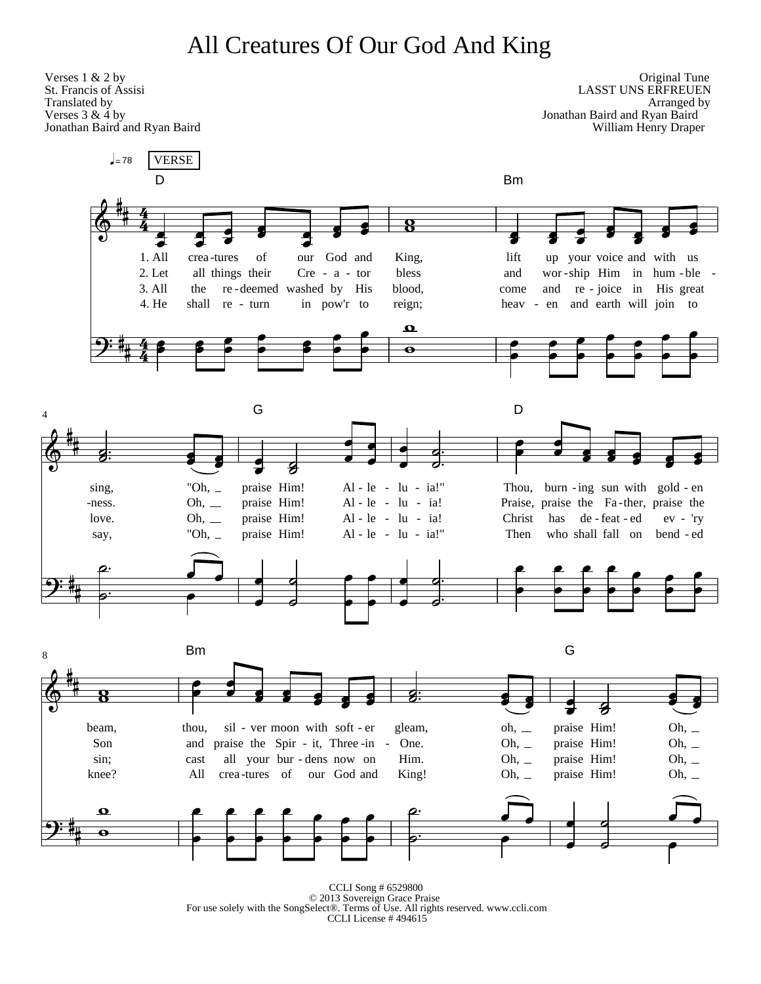## All Creatures Of Our God And King



CCLI Song # 6529800 © 2013 Sovereign Grace Praise For use solely with the SongSelect®. Terms of Use. All rights reserved. www.ccli.com CCLI License # $494615$